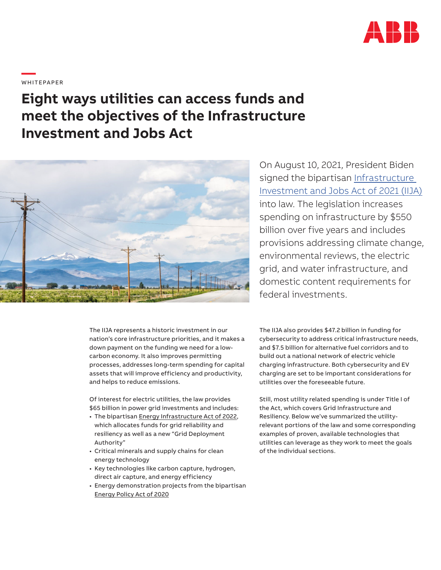

**—**  WHITEPAPER

# **Eight ways utilities can access funds and meet the objectives of the Infrastructure Investment and Jobs Act**



The IIJA represents a historic investment in our nation's core infrastructure priorities, and it makes a down payment on the funding we need for a lowcarbon economy. It also improves permitting processes, addresses long-term spending for capital assets that will improve efficiency and productivity, and helps to reduce emissions.

Of interest for electric utilities, the law provides \$65 billion in power grid investments and includes:

- The bipartisan Energy Infrastructure Act of 2022, which allocates funds for grid reliability and resiliency as well as a new "Grid Deployment Authority"
- Critical minerals and supply chains for clean energy technology
- Key technologies like carbon capture, hydrogen, direct air capture, and energy efficiency
- Energy demonstration projects from the bipartisan Energy Policy Act of 2020

On August 10, 2021, President Biden signed the bipartisan [Infrastructure](https://www.epw.senate.gov/public/_cache/files/e/a/ea1eb2e4-56bd-45f1-a260-9d6ee951bc96/F8A7C77D69BE09151F210EB4DFE872CD.edw21a09.pdf)  [Investment and Jobs Act of 2021 \(IIJA\)](https://www.epw.senate.gov/public/_cache/files/e/a/ea1eb2e4-56bd-45f1-a260-9d6ee951bc96/F8A7C77D69BE09151F210EB4DFE872CD.edw21a09.pdf) into law. The legislation increases spending on infrastructure by \$550 billion over five years and includes provisions addressing climate change, environmental reviews, the electric grid, and water infrastructure, and domestic content requirements for federal investments.

The IIJA also provides \$47.2 billion in funding for cybersecurity to address critical infrastructure needs, and \$7.5 billion for alternative fuel corridors and to build out a national network of electric vehicle charging infrastructure. Both cybersecurity and EV charging are set to be important considerations for utilities over the foreseeable future.

Still, most utility related spending is under Title I of the Act, which covers Grid Infrastructure and Resiliency. Below we've summarized the utilityrelevant portions of the law and some corresponding examples of proven, available technologies that utilities can leverage as they work to meet the goals of the individual sections.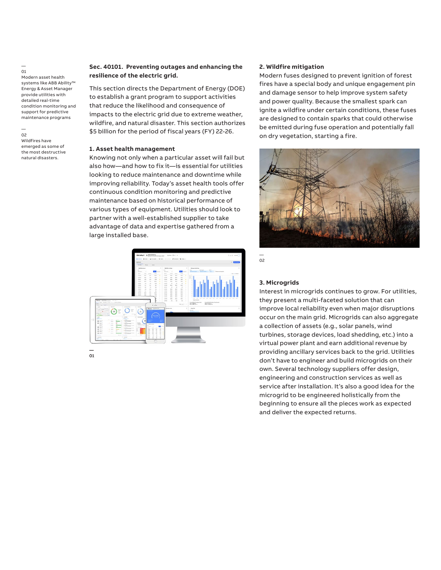#### — 01 Modern asset health systems like ABB Ability™ Energy & Asset Manager provide utilities with detailed real-time condition monitoring and support for predictive maintenance programs

— 02 Wildfires have emerged as some of the most destructive natural disasters.

# **Sec. 40101. Preventing outages and enhancing the resilience of the electric grid.**

This section directs the Department of Energy (DOE) to establish a grant program to support activities that reduce the likelihood and consequence of impacts to the electric grid due to extreme weather, wildfire, and natural disaster. This section authorizes \$5 billion for the period of fiscal years (FY) 22-26.

#### **1. Asset health management**

Knowing not only when a particular asset will fail but also how—and how to fix it—is essential for utilities looking to reduce maintenance and downtime while improving reliability. Today's asset health tools offer continuous condition monitoring and predictive maintenance based on historical performance of various types of equipment. Utilities should look to partner with a well-established supplier to take advantage of data and expertise gathered from a large installed base.



— 01

#### **2. Wildfire mitigation**

Modern fuses designed to prevent ignition of forest fires have a special body and unique engagement pin and damage sensor to help improve system safety and power quality. Because the smallest spark can ignite a wildfire under certain conditions, these fuses are designed to contain sparks that could otherwise be emitted during fuse operation and potentially fall on dry vegetation, starting a fire.





#### **3. Microgrids**

Interest in microgrids continues to grow. For utilities, they present a multi-faceted solution that can improve local reliability even when major disruptions occur on the main grid. Microgrids can also aggregate a collection of assets (e.g., solar panels, wind turbines, storage devices, load shedding, etc.) into a virtual power plant and earn additional revenue by providing ancillary services back to the grid. Utilities don't have to engineer and build microgrids on their own. Several technology suppliers offer design, engineering and construction services as well as service after installation. It's also a good idea for the microgrid to be engineered holistically from the beginning to ensure all the pieces work as expected and deliver the expected returns.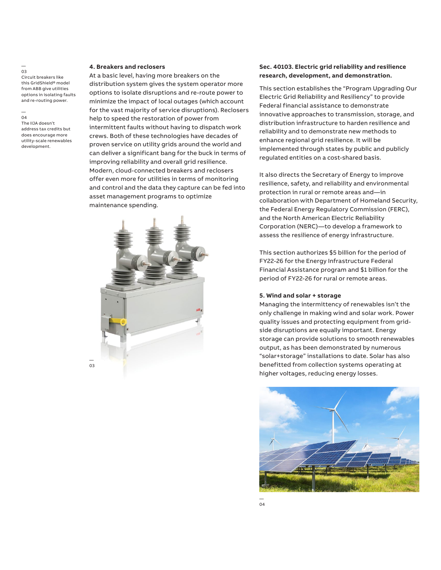## **4. Breakers and reclosers**

— 03 Circuit breakers like this GridShield® model from ABB give utilities options in isolating faults and re-routing power.

— 04 The IIJA doesn't address tax credits but does encourage more utility-scale renewables development.

At a basic level, having more breakers on the distribution system gives the system operator more options to isolate disruptions and re-route power to minimize the impact of local outages (which account for the vast majority of service disruptions). Reclosers help to speed the restoration of power from intermittent faults without having to dispatch work crews. Both of these technologies have decades of proven service on utility grids around the world and can deliver a significant bang for the buck in terms of improving reliability and overall grid resilience. Modern, cloud-connected breakers and reclosers offer even more for utilities in terms of monitoring and control and the data they capture can be fed into asset management programs to optimize maintenance spending.



# **Sec. 40103. Electric grid reliability and resilience research, development, and demonstration.**

This section establishes the "Program Upgrading Our Electric Grid Reliability and Resiliency" to provide Federal financial assistance to demonstrate innovative approaches to transmission, storage, and distribution infrastructure to harden resilience and reliability and to demonstrate new methods to enhance regional grid resilience. It will be implemented through states by public and publicly regulated entities on a cost-shared basis.

It also directs the Secretary of Energy to improve resilience, safety, and reliability and environmental protection in rural or remote areas and—in collaboration with Department of Homeland Security, the Federal Energy Regulatory Commission (FERC), and the North American Electric Reliability Corporation (NERC)—to develop a framework to assess the resilience of energy infrastructure.

This section authorizes \$5 billion for the period of FY22-26 for the Energy Infrastructure Federal Financial Assistance program and \$1 billion for the period of FY22-26 for rural or remote areas.

#### **5. Wind and solar + storage**

Managing the intermittency of renewables isn't the only challenge in making wind and solar work. Power quality issues and protecting equipment from gridside disruptions are equally important. Energy storage can provide solutions to smooth renewables output, as has been demonstrated by numerous "solar+storage" installations to date. Solar has also benefitted from collection systems operating at higher voltages, reducing energy losses.

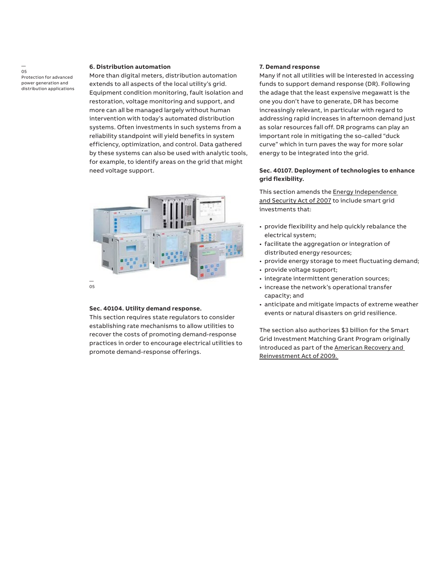— 05 Protection for advanced power generation and distribution applications

## **6. Distribution automation**

More than digital meters, distribution automation extends to all aspects of the local utility's grid. Equipment condition monitoring, fault isolation and restoration, voltage monitoring and support, and more can all be managed largely without human intervention with today's automated distribution systems. Often investments in such systems from a reliability standpoint will yield benefits in system efficiency, optimization, and control. Data gathered by these systems can also be used with analytic tools, for example, to identify areas on the grid that might need voltage support.



#### **Sec. 40104. Utility demand response.**

This section requires state regulators to consider establishing rate mechanisms to allow utilities to recover the costs of promoting demand-response practices in order to encourage electrical utilities to promote demand-response offerings.

#### **7. Demand response**

Many if not all utilities will be interested in accessing funds to support demand response (DR). Following the adage that the least expensive megawatt is the one you don't have to generate, DR has become increasingly relevant, in particular with regard to addressing rapid increases in afternoon demand just as solar resources fall off. DR programs can play an important role in mitigating the so-called "duck curve" which in turn paves the way for more solar energy to be integrated into the grid.

# **Sec. 40107. Deployment of technologies to enhance grid flexibility.**

This section amends the Energy Independence and Security Act of 2007 to include smart grid investments that:

- provide flexibility and help quickly rebalance the electrical system;
- facilitate the aggregation or integration of distributed energy resources;
- provide energy storage to meet fluctuating demand;
- provide voltage support;
- integrate intermittent generation sources;
- increase the network's operational transfer capacity; and
- anticipate and mitigate impacts of extreme weather events or natural disasters on grid resilience.

The section also authorizes \$3 billion for the Smart Grid Investment Matching Grant Program originally introduced as part of the American Recovery and Reinvestment Act of 2009.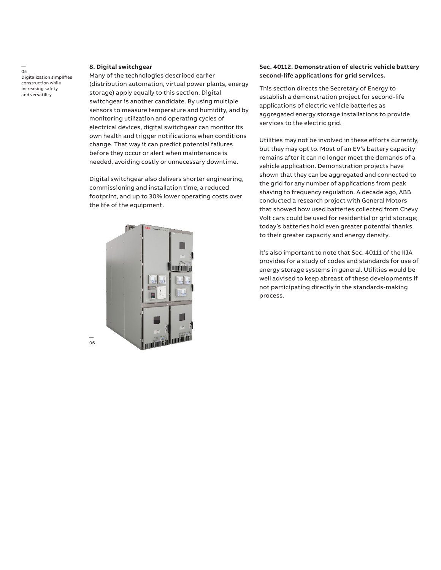#### — 05 Digitalization simplifies construction while increasing safety and versatility

#### **8. Digital switchgear**

Many of the technologies described earlier (distribution automation, virtual power plants, energy storage) apply equally to this section. Digital switchgear is another candidate. By using multiple sensors to measure temperature and humidity, and by monitoring utilization and operating cycles of electrical devices, digital switchgear can monitor its own health and trigger notifications when conditions change. That way it can predict potential failures before they occur or alert when maintenance is needed, avoiding costly or unnecessary downtime.

Digital switchgear also delivers shorter engineering, commissioning and installation time, a reduced footprint, and up to 30% lower operating costs over the life of the equipment.



# **Sec. 40112. Demonstration of electric vehicle battery second-life applications for grid services.**

This section directs the Secretary of Energy to establish a demonstration project for second-life applications of electric vehicle batteries as aggregated energy storage installations to provide services to the electric grid.

Utilities may not be involved in these efforts currently, but they may opt to. Most of an EV's battery capacity remains after it can no longer meet the demands of a vehicle application. Demonstration projects have shown that they can be aggregated and connected to the grid for any number of applications from peak shaving to frequency regulation. A decade ago, ABB conducted a research project with General Motors that showed how used batteries collected from Chevy Volt cars could be used for residential or grid storage; today's batteries hold even greater potential thanks to their greater capacity and energy density.

It's also important to note that Sec. 40111 of the IIJA provides for a study of codes and standards for use of energy storage systems in general. Utilities would be well advised to keep abreast of these developments if not participating directly in the standards-making process.